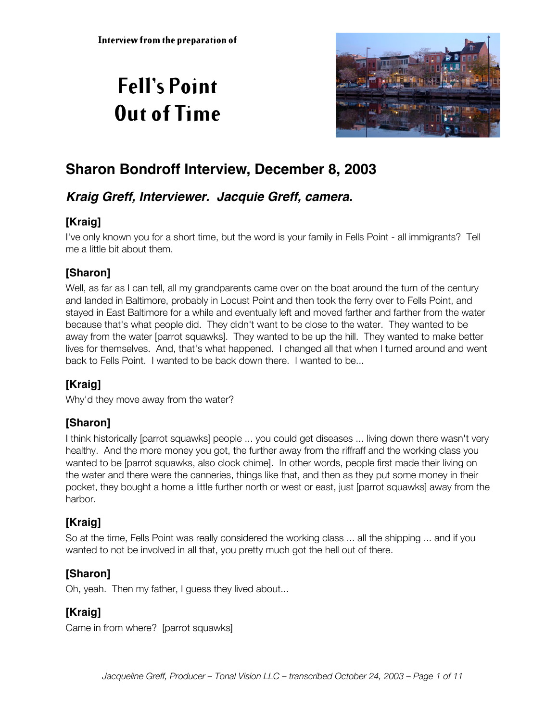# **Fell's Point Out of Time**



## **Sharon Bondroff Interview, December 8, 2003**

## **Kraig Greff, Interviewer. Jacquie Greff, camera.**

## **[Kraig]**

I've only known you for a short time, but the word is your family in Fells Point - all immigrants? Tell me a little bit about them.

## **[Sharon]**

Well, as far as I can tell, all my grandparents came over on the boat around the turn of the century and landed in Baltimore, probably in Locust Point and then took the ferry over to Fells Point, and stayed in East Baltimore for a while and eventually left and moved farther and farther from the water because that's what people did. They didn't want to be close to the water. They wanted to be away from the water [parrot squawks]. They wanted to be up the hill. They wanted to make better lives for themselves. And, that's what happened. I changed all that when I turned around and went back to Fells Point. I wanted to be back down there. I wanted to be...

## **[Kraig]**

Why'd they move away from the water?

## **[Sharon]**

I think historically [parrot squawks] people ... you could get diseases ... living down there wasn't very healthy. And the more money you got, the further away from the riffraff and the working class you wanted to be [parrot squawks, also clock chime]. In other words, people first made their living on the water and there were the canneries, things like that, and then as they put some money in their pocket, they bought a home a little further north or west or east, just [parrot squawks] away from the harbor.

## **[Kraig]**

So at the time, Fells Point was really considered the working class ... all the shipping ... and if you wanted to not be involved in all that, you pretty much got the hell out of there.

## **[Sharon]**

Oh, yeah. Then my father, I guess they lived about...

## **[Kraig]**

Came in from where? [parrot squawks]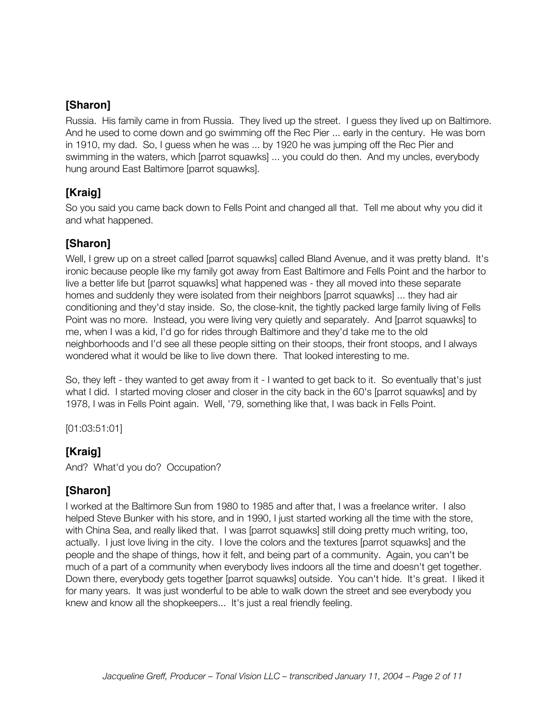Russia. His family came in from Russia. They lived up the street. I guess they lived up on Baltimore. And he used to come down and go swimming off the Rec Pier ... early in the century. He was born in 1910, my dad. So, I guess when he was ... by 1920 he was jumping off the Rec Pier and swimming in the waters, which [parrot squawks] ... you could do then. And my uncles, everybody hung around East Baltimore [parrot squawks].

## **[Kraig]**

So you said you came back down to Fells Point and changed all that. Tell me about why you did it and what happened.

## **[Sharon]**

Well, I grew up on a street called [parrot squawks] called Bland Avenue, and it was pretty bland. It's ironic because people like my family got away from East Baltimore and Fells Point and the harbor to live a better life but [parrot squawks] what happened was - they all moved into these separate homes and suddenly they were isolated from their neighbors [parrot squawks] ... they had air conditioning and they'd stay inside. So, the close-knit, the tightly packed large family living of Fells Point was no more. Instead, you were living very quietly and separately. And [parrot squawks] to me, when I was a kid, I'd go for rides through Baltimore and they'd take me to the old neighborhoods and I'd see all these people sitting on their stoops, their front stoops, and I always wondered what it would be like to live down there. That looked interesting to me.

So, they left - they wanted to get away from it - I wanted to get back to it. So eventually that's just what I did. I started moving closer and closer in the city back in the 60's [parrot squawks] and by 1978, I was in Fells Point again. Well, '79, something like that, I was back in Fells Point.

[01:03:51:01]

## **[Kraig]**

And? What'd you do? Occupation?

#### **[Sharon]**

I worked at the Baltimore Sun from 1980 to 1985 and after that, I was a freelance writer. I also helped Steve Bunker with his store, and in 1990, I just started working all the time with the store, with China Sea, and really liked that. I was [parrot squawks] still doing pretty much writing, too, actually. I just love living in the city. I love the colors and the textures [parrot squawks] and the people and the shape of things, how it felt, and being part of a community. Again, you can't be much of a part of a community when everybody lives indoors all the time and doesn't get together. Down there, everybody gets together [parrot squawks] outside. You can't hide. It's great. I liked it for many years. It was just wonderful to be able to walk down the street and see everybody you knew and know all the shopkeepers... It's just a real friendly feeling.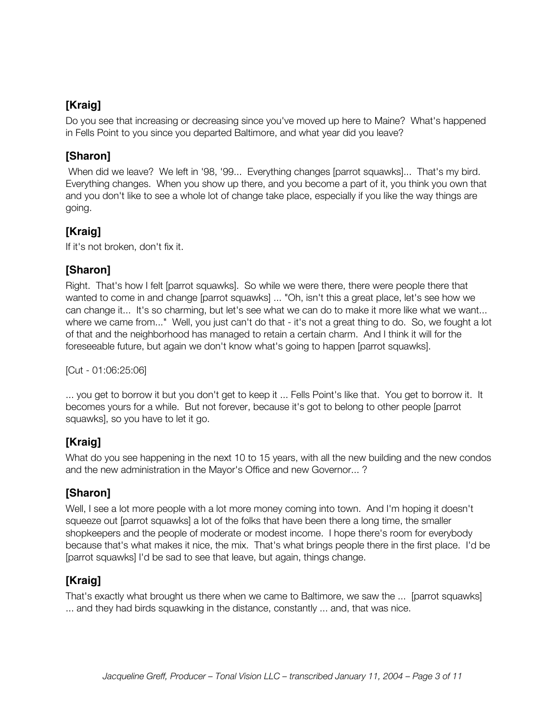## **[Kraig]**

Do you see that increasing or decreasing since you've moved up here to Maine? What's happened in Fells Point to you since you departed Baltimore, and what year did you leave?

## **[Sharon]**

 When did we leave? We left in '98, '99... Everything changes [parrot squawks]... That's my bird. Everything changes. When you show up there, and you become a part of it, you think you own that and you don't like to see a whole lot of change take place, especially if you like the way things are going.

## **[Kraig]**

If it's not broken, don't fix it.

## **[Sharon]**

Right. That's how I felt [parrot squawks]. So while we were there, there were people there that wanted to come in and change [parrot squawks] ... "Oh, isn't this a great place, let's see how we can change it... It's so charming, but let's see what we can do to make it more like what we want... where we came from..." Well, you just can't do that - it's not a great thing to do. So, we fought a lot of that and the neighborhood has managed to retain a certain charm. And I think it will for the foreseeable future, but again we don't know what's going to happen [parrot squawks].

[Cut - 01:06:25:06]

... you get to borrow it but you don't get to keep it ... Fells Point's like that. You get to borrow it. It becomes yours for a while. But not forever, because it's got to belong to other people [parrot squawks], so you have to let it go.

## **[Kraig]**

What do you see happening in the next 10 to 15 years, with all the new building and the new condos and the new administration in the Mayor's Office and new Governor... ?

## **[Sharon]**

Well, I see a lot more people with a lot more money coming into town. And I'm hoping it doesn't squeeze out [parrot squawks] a lot of the folks that have been there a long time, the smaller shopkeepers and the people of moderate or modest income. I hope there's room for everybody because that's what makes it nice, the mix. That's what brings people there in the first place. I'd be [parrot squawks] I'd be sad to see that leave, but again, things change.

## **[Kraig]**

That's exactly what brought us there when we came to Baltimore, we saw the ... [parrot squawks] ... and they had birds squawking in the distance, constantly ... and, that was nice.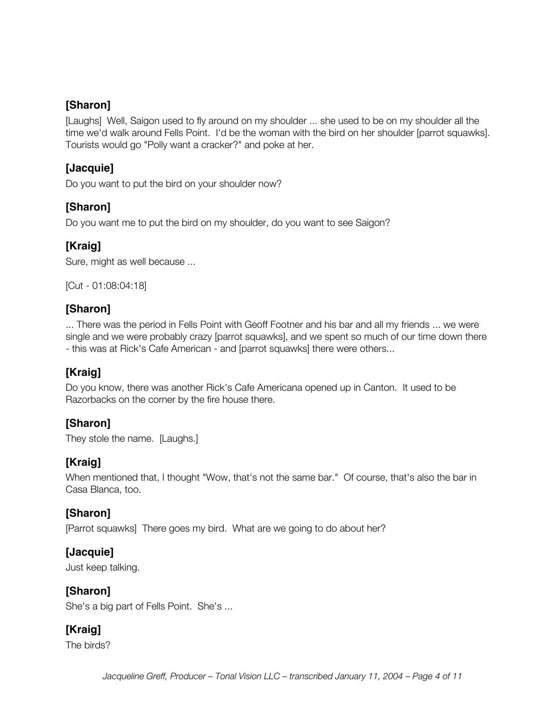[Laughs] Well, Saigon used to fly around on my shoulder ... she used to be on my shoulder all the time we'd walk around Fells Point. I'd be the woman with the bird on her shoulder [parrot squawks]. Tourists would go "Polly want a cracker?" and poke at her.

## **[Jacquie]**

Do you want to put the bird on your shoulder now?

#### **[Sharon]**

Do you want me to put the bird on my shoulder, do you want to see Saigon?

#### **[Kraig]**

Sure, might as well because ...

[Cut - 01:08:04:18]

#### **[Sharon]**

... There was the period in Fells Point with Geoff Footner and his bar and all my friends ... we were single and we were probably crazy [parrot squawks], and we spent so much of our time down there - this was at Rick's Cafe American - and [parrot squawks] there were others...

## **[Kraig]**

Do you know, there was another Rick's Cafe Americana opened up in Canton. It used to be Razorbacks on the corner by the fire house there.

## **[Sharon]**

They stole the name. [Laughs.]

## **[Kraig]**

When mentioned that, I thought "Wow, that's not the same bar." Of course, that's also the bar in Casa Blanca, too.

## **[Sharon]**

[Parrot squawks] There goes my bird. What are we going to do about her?

#### **[Jacquie]**

Just keep talking.

#### **[Sharon]**

She's a big part of Fells Point. She's ...

## **[Kraig]**

The birds?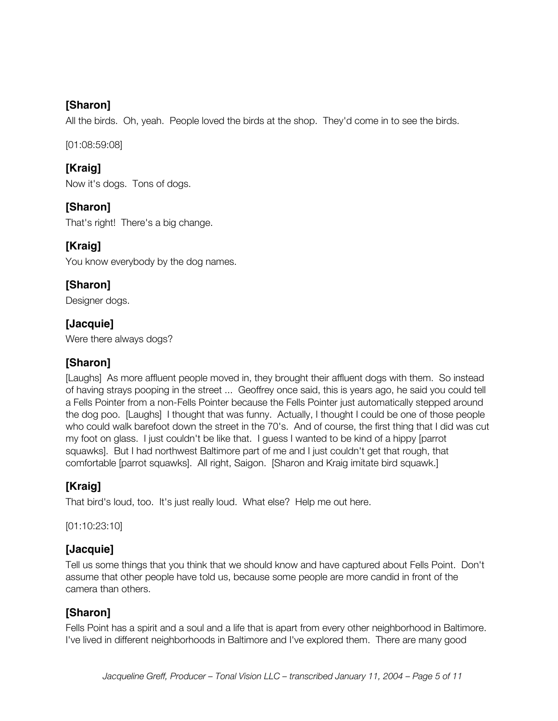All the birds. Oh, yeah. People loved the birds at the shop. They'd come in to see the birds.

[01:08:59:08]

## **[Kraig]**

Now it's dogs. Tons of dogs.

## **[Sharon]**

That's right! There's a big change.

## **[Kraig]**

You know everybody by the dog names.

## **[Sharon]**

Designer dogs.

## **[Jacquie]**

Were there always dogs?

## **[Sharon]**

[Laughs] As more affluent people moved in, they brought their affluent dogs with them. So instead of having strays pooping in the street ... Geoffrey once said, this is years ago, he said you could tell a Fells Pointer from a non-Fells Pointer because the Fells Pointer just automatically stepped around the dog poo. [Laughs] I thought that was funny. Actually, I thought I could be one of those people who could walk barefoot down the street in the 70's. And of course, the first thing that I did was cut my foot on glass. I just couldn't be like that. I guess I wanted to be kind of a hippy [parrot squawks]. But I had northwest Baltimore part of me and I just couldn't get that rough, that comfortable [parrot squawks]. All right, Saigon. [Sharon and Kraig imitate bird squawk.]

## **[Kraig]**

That bird's loud, too. It's just really loud. What else? Help me out here.

[01:10:23:10]

## **[Jacquie]**

Tell us some things that you think that we should know and have captured about Fells Point. Don't assume that other people have told us, because some people are more candid in front of the camera than others.

## **[Sharon]**

Fells Point has a spirit and a soul and a life that is apart from every other neighborhood in Baltimore. I've lived in different neighborhoods in Baltimore and I've explored them. There are many good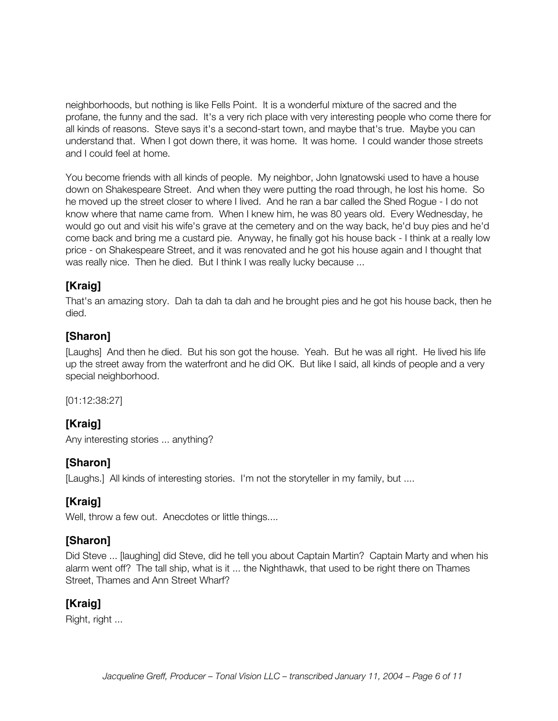neighborhoods, but nothing is like Fells Point. It is a wonderful mixture of the sacred and the profane, the funny and the sad. It's a very rich place with very interesting people who come there for all kinds of reasons. Steve says it's a second-start town, and maybe that's true. Maybe you can understand that. When I got down there, it was home. It was home. I could wander those streets and I could feel at home.

You become friends with all kinds of people. My neighbor, John Ignatowski used to have a house down on Shakespeare Street. And when they were putting the road through, he lost his home. So he moved up the street closer to where I lived. And he ran a bar called the Shed Rogue - I do not know where that name came from. When I knew him, he was 80 years old. Every Wednesday, he would go out and visit his wife's grave at the cemetery and on the way back, he'd buy pies and he'd come back and bring me a custard pie. Anyway, he finally got his house back - I think at a really low price - on Shakespeare Street, and it was renovated and he got his house again and I thought that was really nice. Then he died. But I think I was really lucky because ...

## **[Kraig]**

That's an amazing story. Dah ta dah ta dah and he brought pies and he got his house back, then he died.

#### **[Sharon]**

[Laughs] And then he died. But his son got the house. Yeah. But he was all right. He lived his life up the street away from the waterfront and he did OK. But like I said, all kinds of people and a very special neighborhood.

[01:12:38:27]

## **[Kraig]**

Any interesting stories ... anything?

#### **[Sharon]**

[Laughs.] All kinds of interesting stories. I'm not the storyteller in my family, but ....

## **[Kraig]**

Well, throw a few out. Anecdotes or little things....

#### **[Sharon]**

Did Steve ... [laughing] did Steve, did he tell you about Captain Martin? Captain Marty and when his alarm went off? The tall ship, what is it ... the Nighthawk, that used to be right there on Thames Street, Thames and Ann Street Wharf?

## **[Kraig]**

Right, right ...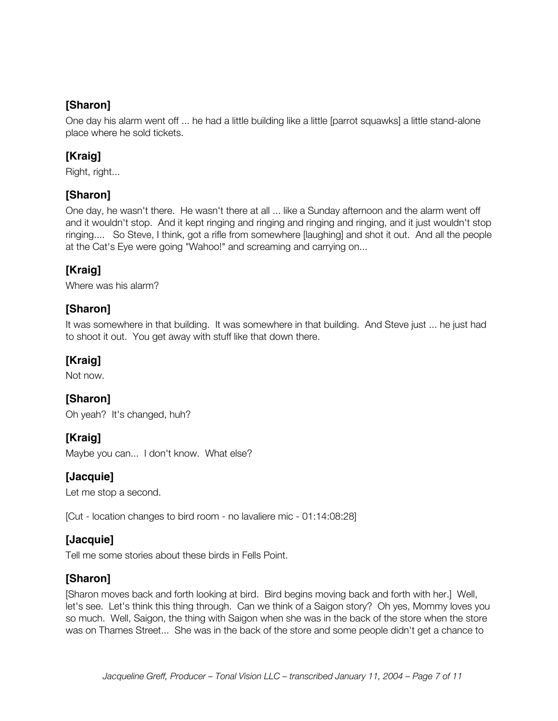One day his alarm went off ... he had a little building like a little [parrot squawks] a little stand-alone place where he sold tickets.

## **[Kraig]**

Right, right...

## **[Sharon]**

One day, he wasn't there. He wasn't there at all ... like a Sunday afternoon and the alarm went off and it wouldn't stop. And it kept ringing and ringing and ringing and ringing, and it just wouldn't stop ringing.... So Steve, I think, got a rifle from somewhere [laughing] and shot it out. And all the people at the Cat's Eye were going "Wahoo!" and screaming and carrying on...

## **[Kraig]**

Where was his alarm?

## **[Sharon]**

It was somewhere in that building. It was somewhere in that building. And Steve just ... he just had to shoot it out. You get away with stuff like that down there.

## **[Kraig]**

Not now.

## **[Sharon]**

Oh yeah? It's changed, huh?

## **[Kraig]**

Maybe you can... I don't know. What else?

## **[Jacquie]**

Let me stop a second.

[Cut - location changes to bird room - no lavaliere mic - 01:14:08:28]

#### **[Jacquie]**

Tell me some stories about these birds in Fells Point.

## **[Sharon]**

[Sharon moves back and forth looking at bird. Bird begins moving back and forth with her.] Well, let's see. Let's think this thing through. Can we think of a Saigon story? Oh yes, Mommy loves you so much. Well, Saigon, the thing with Saigon when she was in the back of the store when the store was on Thames Street... She was in the back of the store and some people didn't get a chance to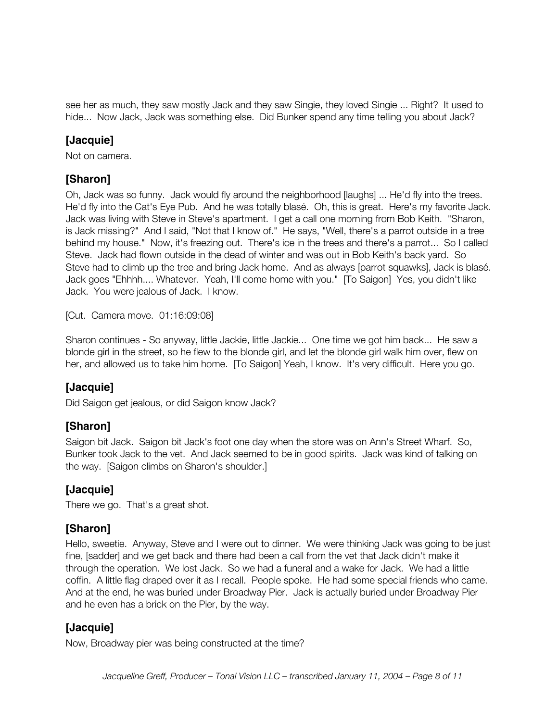see her as much, they saw mostly Jack and they saw Singie, they loved Singie ... Right? It used to hide... Now Jack, Jack was something else. Did Bunker spend any time telling you about Jack?

## **[Jacquie]**

Not on camera.

#### **[Sharon]**

Oh, Jack was so funny. Jack would fly around the neighborhood [laughs] ... He'd fly into the trees. He'd fly into the Cat's Eye Pub. And he was totally blasé. Oh, this is great. Here's my favorite Jack. Jack was living with Steve in Steve's apartment. I get a call one morning from Bob Keith. "Sharon, is Jack missing?" And I said, "Not that I know of." He says, "Well, there's a parrot outside in a tree behind my house." Now, it's freezing out. There's ice in the trees and there's a parrot... So I called Steve. Jack had flown outside in the dead of winter and was out in Bob Keith's back yard. So Steve had to climb up the tree and bring Jack home. And as always [parrot squawks], Jack is blasé. Jack goes "Ehhhh.... Whatever. Yeah, I'll come home with you." [To Saigon] Yes, you didn't like Jack. You were jealous of Jack. I know.

[Cut. Camera move. 01:16:09:08]

Sharon continues - So anyway, little Jackie, little Jackie... One time we got him back... He saw a blonde girl in the street, so he flew to the blonde girl, and let the blonde girl walk him over, flew on her, and allowed us to take him home. [To Saigon] Yeah, I know. It's very difficult. Here you go.

## **[Jacquie]**

Did Saigon get jealous, or did Saigon know Jack?

## **[Sharon]**

Saigon bit Jack. Saigon bit Jack's foot one day when the store was on Ann's Street Wharf. So, Bunker took Jack to the vet. And Jack seemed to be in good spirits. Jack was kind of talking on the way. [Saigon climbs on Sharon's shoulder.]

## **[Jacquie]**

There we go. That's a great shot.

## **[Sharon]**

Hello, sweetie. Anyway, Steve and I were out to dinner. We were thinking Jack was going to be just fine, [sadder] and we get back and there had been a call from the vet that Jack didn't make it through the operation. We lost Jack. So we had a funeral and a wake for Jack. We had a little coffin. A little flag draped over it as I recall. People spoke. He had some special friends who came. And at the end, he was buried under Broadway Pier. Jack is actually buried under Broadway Pier and he even has a brick on the Pier, by the way.

## **[Jacquie]**

Now, Broadway pier was being constructed at the time?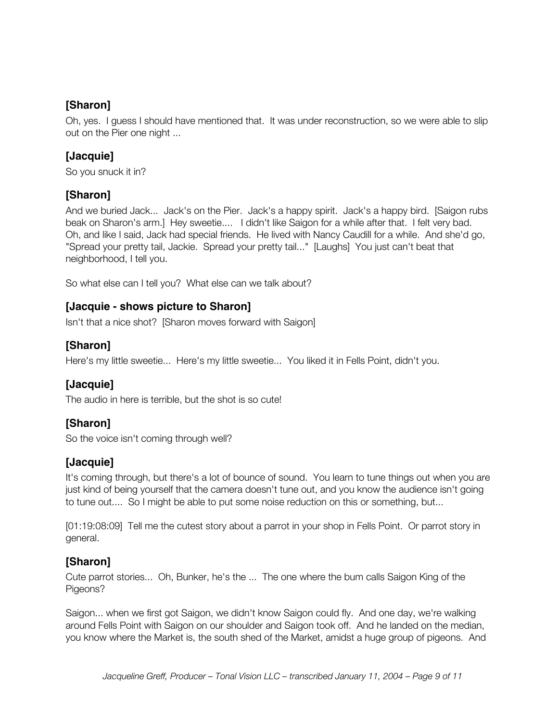Oh, yes. I guess I should have mentioned that. It was under reconstruction, so we were able to slip out on the Pier one night ...

## **[Jacquie]**

So you snuck it in?

#### **[Sharon]**

And we buried Jack... Jack's on the Pier. Jack's a happy spirit. Jack's a happy bird. [Saigon rubs beak on Sharon's arm.] Hey sweetie.... I didn't like Saigon for a while after that. I felt very bad. Oh, and like I said, Jack had special friends. He lived with Nancy Caudill for a while. And she'd go, "Spread your pretty tail, Jackie. Spread your pretty tail..." [Laughs] You just can't beat that neighborhood, I tell you.

So what else can I tell you? What else can we talk about?

#### **[Jacquie - shows picture to Sharon]**

Isn't that a nice shot? [Sharon moves forward with Saigon]

#### **[Sharon]**

Here's my little sweetie... Here's my little sweetie... You liked it in Fells Point, didn't you.

#### **[Jacquie]**

The audio in here is terrible, but the shot is so cute!

#### **[Sharon]**

So the voice isn't coming through well?

## **[Jacquie]**

It's coming through, but there's a lot of bounce of sound. You learn to tune things out when you are just kind of being yourself that the camera doesn't tune out, and you know the audience isn't going to tune out.... So I might be able to put some noise reduction on this or something, but...

[01:19:08:09] Tell me the cutest story about a parrot in your shop in Fells Point. Or parrot story in general.

## **[Sharon]**

Cute parrot stories... Oh, Bunker, he's the ... The one where the bum calls Saigon King of the Pigeons?

Saigon... when we first got Saigon, we didn't know Saigon could fly. And one day, we're walking around Fells Point with Saigon on our shoulder and Saigon took off. And he landed on the median, you know where the Market is, the south shed of the Market, amidst a huge group of pigeons. And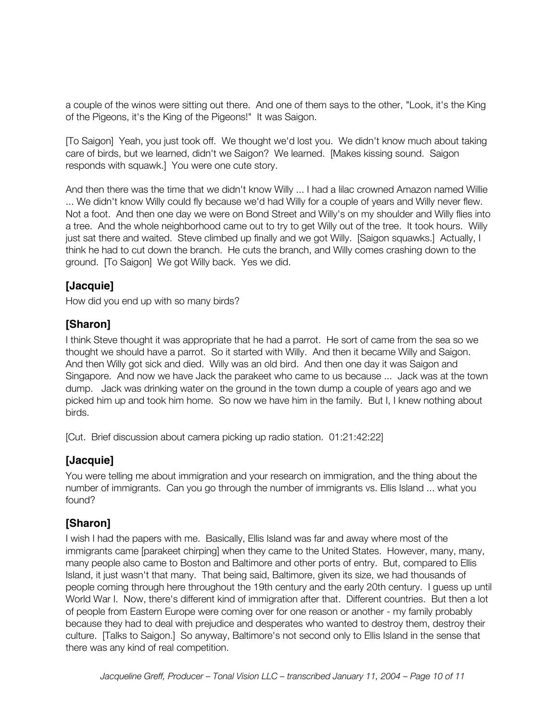a couple of the winos were sitting out there. And one of them says to the other, "Look, it's the King of the Pigeons, it's the King of the Pigeons!" It was Saigon.

[To Saigon] Yeah, you just took off. We thought we'd lost you. We didn't know much about taking care of birds, but we learned, didn't we Saigon? We learned. [Makes kissing sound. Saigon responds with squawk.] You were one cute story.

And then there was the time that we didn't know Willy ... I had a lilac crowned Amazon named Willie ... We didn't know Willy could fly because we'd had Willy for a couple of years and Willy never flew. Not a foot. And then one day we were on Bond Street and Willy's on my shoulder and Willy flies into a tree. And the whole neighborhood came out to try to get Willy out of the tree. It took hours. Willy just sat there and waited. Steve climbed up finally and we got Willy. [Saigon squawks.] Actually, I think he had to cut down the branch. He cuts the branch, and Willy comes crashing down to the ground. [To Saigon] We got Willy back. Yes we did.

## **[Jacquie]**

How did you end up with so many birds?

#### **[Sharon]**

I think Steve thought it was appropriate that he had a parrot. He sort of came from the sea so we thought we should have a parrot. So it started with Willy. And then it became Willy and Saigon. And then Willy got sick and died. Willy was an old bird. And then one day it was Saigon and Singapore. And now we have Jack the parakeet who came to us because ... Jack was at the town dump. Jack was drinking water on the ground in the town dump a couple of years ago and we picked him up and took him home. So now we have him in the family. But I, I knew nothing about birds.

[Cut. Brief discussion about camera picking up radio station. 01:21:42:22]

## **[Jacquie]**

You were telling me about immigration and your research on immigration, and the thing about the number of immigrants. Can you go through the number of immigrants vs. Ellis Island ... what you found?

#### **[Sharon]**

I wish I had the papers with me. Basically, Ellis Island was far and away where most of the immigrants came [parakeet chirping] when they came to the United States. However, many, many, many people also came to Boston and Baltimore and other ports of entry. But, compared to Ellis Island, it just wasn't that many. That being said, Baltimore, given its size, we had thousands of people coming through here throughout the 19th century and the early 20th century. I guess up until World War I. Now, there's different kind of immigration after that. Different countries. But then a lot of people from Eastern Europe were coming over for one reason or another - my family probably because they had to deal with prejudice and desperates who wanted to destroy them, destroy their culture. [Talks to Saigon.] So anyway, Baltimore's not second only to Ellis Island in the sense that there was any kind of real competition.